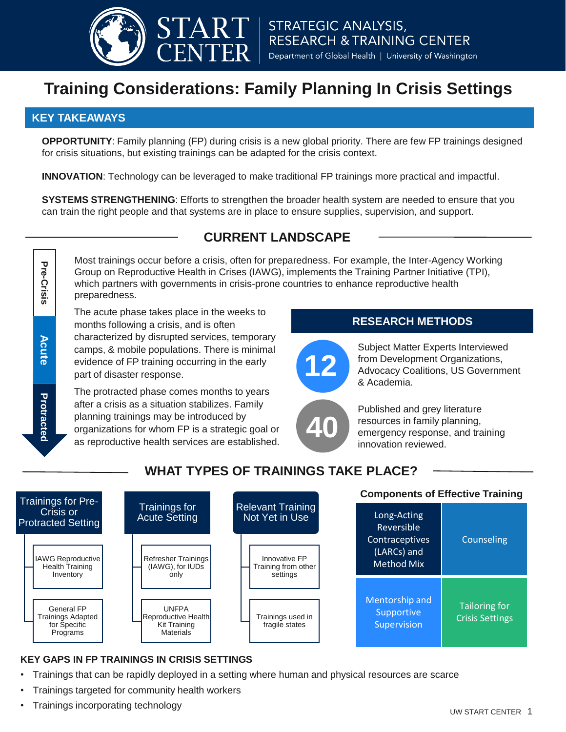

# **Training Considerations: Family Planning In Crisis Settings**

### **KEY TAKEAWAYS**

**Pre-Crisis**

Pre-Crisis

**Protracted Acute**

Protracted

Acute

**OPPORTUNITY**: Family planning (FP) during crisis is a new global priority. There are few FP trainings designed for crisis situations, but existing trainings can be adapted for the crisis context.

**INNOVATION**: Technology can be leveraged to make traditional FP trainings more practical and impactful.

**SYSTEMS STRENGTHENING**: Efforts to strengthen the broader health system are needed to ensure that you can train the right people and that systems are in place to ensure supplies, supervision, and support.

## **CURRENT LANDSCAPE**

Most trainings occur before a crisis, often for preparedness. For example, the Inter-Agency Working Group on Reproductive Health in Crises (IAWG), implements the Training Partner Initiative (TPI), which partners with governments in crisis-prone countries to enhance reproductive health preparedness.

The acute phase takes place in the weeks to months following a crisis, and is often characterized by disrupted services, temporary camps, & mobile populations. There is minimal evidence of FP training occurring in the early part of disaster response.

The protracted phase comes months to years after a crisis as a situation stabilizes. Family planning trainings may be introduced by organizations for whom FP is a strategic goal or as reproductive health services are established.

# **RESEARCH METHODS**



Subject Matter Experts Interviewed from Development Organizations, Advocacy Coalitions, US Government & Academia.



Published and grey literature resources in family planning, emergency response, and training innovation reviewed.

## **WHAT TYPES OF TRAININGS TAKE PLACE?**



#### **KEY GAPS IN FP TRAININGS IN CRISIS SETTINGS**

- Trainings that can be rapidly deployed in a setting where human and physical resources are scarce
- Trainings targeted for community health workers
- Trainings incorporating technology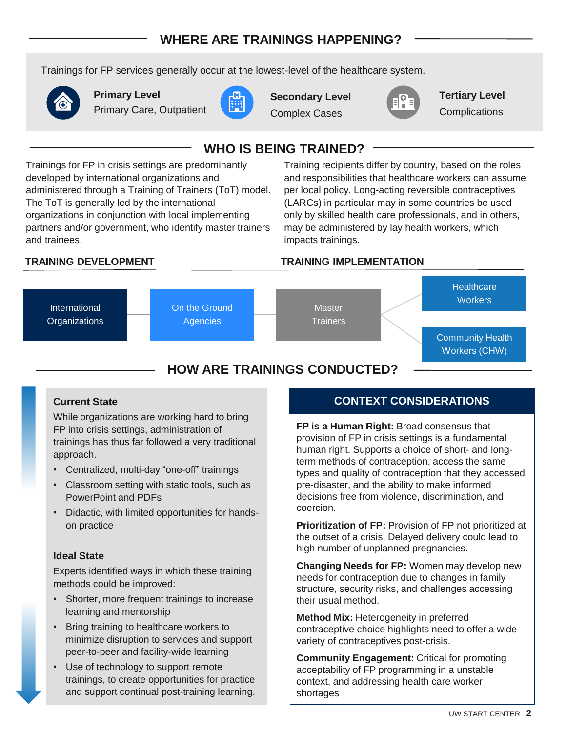## **WHERE ARE TRAININGS HAPPENING?**

Trainings for FP services generally occur at the lowest-level of the healthcare system.



**Primary Level**



**Secondary Level** Complex Cases



**Tertiary Level Complications** 

## **WHO IS BEING TRAINED?**

Trainings for FP in crisis settings are predominantly developed by international organizations and administered through a Training of Trainers (ToT) model. The ToT is generally led by the international organizations in conjunction with local implementing partners and/or government, who identify master trainers and trainees.

Primary Care, Outpatient

Training recipients differ by country, based on the roles and responsibilities that healthcare workers can assume per local policy. Long-acting reversible contraceptives (LARCs) in particular may in some countries be used only by skilled health care professionals, and in others, may be administered by lay health workers, which impacts trainings.

#### **TRAINING DEVELOPMENT TRAINING IMPLEMENTATION**



## **HOW ARE TRAININGS CONDUCTED?**

#### **Current State**

While organizations are working hard to bring FP into crisis settings, administration of trainings has thus far followed a very traditional approach.

- Centralized, multi-day "one-off" trainings
- Classroom setting with static tools, such as PowerPoint and PDFs
- Didactic, with limited opportunities for handson practice

#### **Ideal State**

Experts identified ways in which these training methods could be improved:

- Shorter, more frequent trainings to increase learning and mentorship
- Bring training to healthcare workers to minimize disruption to services and support peer-to-peer and facility-wide learning
- Use of technology to support remote trainings, to create opportunities for practice and support continual post-training learning.

## **CONTEXT CONSIDERATIONS**

**FP is a Human Right:** Broad consensus that provision of FP in crisis settings is a fundamental human right. Supports a choice of short- and longterm methods of contraception, access the same types and quality of contraception that they accessed pre-disaster, and the ability to make informed decisions free from violence, discrimination, and coercion.

**Prioritization of FP:** Provision of FP not prioritized at the outset of a crisis. Delayed delivery could lead to high number of unplanned pregnancies.

**Changing Needs for FP:** Women may develop new needs for contraception due to changes in family structure, security risks, and challenges accessing their usual method.

**Method Mix: Heterogeneity in preferred** contraceptive choice highlights need to offer a wide variety of contraceptives post-crisis.

**Community Engagement:** Critical for promoting acceptability of FP programming in a unstable context, and addressing health care worker shortages